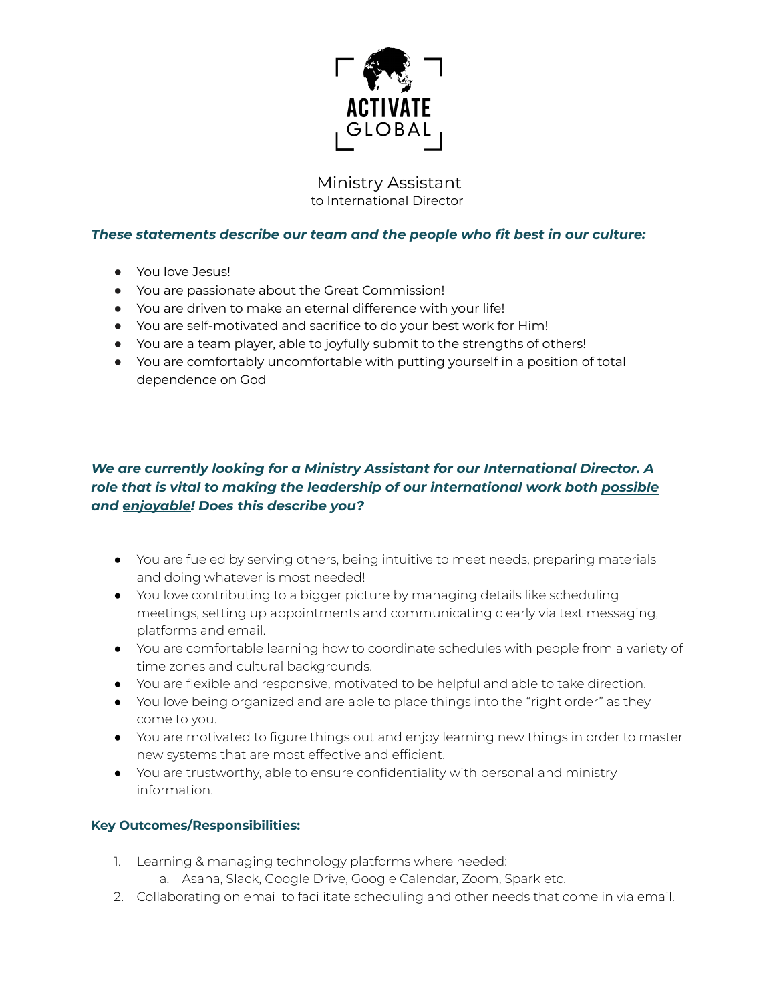

Ministry Assistant to International Director

## *These statements describe our team and the people who fit best in our culture:*

- You love Jesus!
- You are passionate about the Great Commission!
- You are driven to make an eternal difference with your life!
- You are self-motivated and sacrifice to do your best work for Him!
- You are a team player, able to joyfully submit to the strengths of others!
- You are comfortably uncomfortable with putting yourself in a position of total dependence on God

## *We are currently looking for a Ministry Assistant for our International Director. A role that is vital to making the leadership of our international work both possible and enjoyable! Does this describe you?*

- You are fueled by serving others, being intuitive to meet needs, preparing materials and doing whatever is most needed!
- You love contributing to a bigger picture by managing details like scheduling meetings, setting up appointments and communicating clearly via text messaging, platforms and email.
- You are comfortable learning how to coordinate schedules with people from a variety of time zones and cultural backgrounds.
- You are flexible and responsive, motivated to be helpful and able to take direction.
- You love being organized and are able to place things into the "right order" as they come to you.
- You are motivated to figure things out and enjoy learning new things in order to master new systems that are most effective and efficient.
- You are trustworthy, able to ensure confidentiality with personal and ministry information.

## **Key Outcomes/Responsibilities:**

- 1. Learning & managing technology platforms where needed:
	- a. Asana, Slack, Google Drive, Google Calendar, Zoom, Spark etc.
- 2. Collaborating on email to facilitate scheduling and other needs that come in via email.